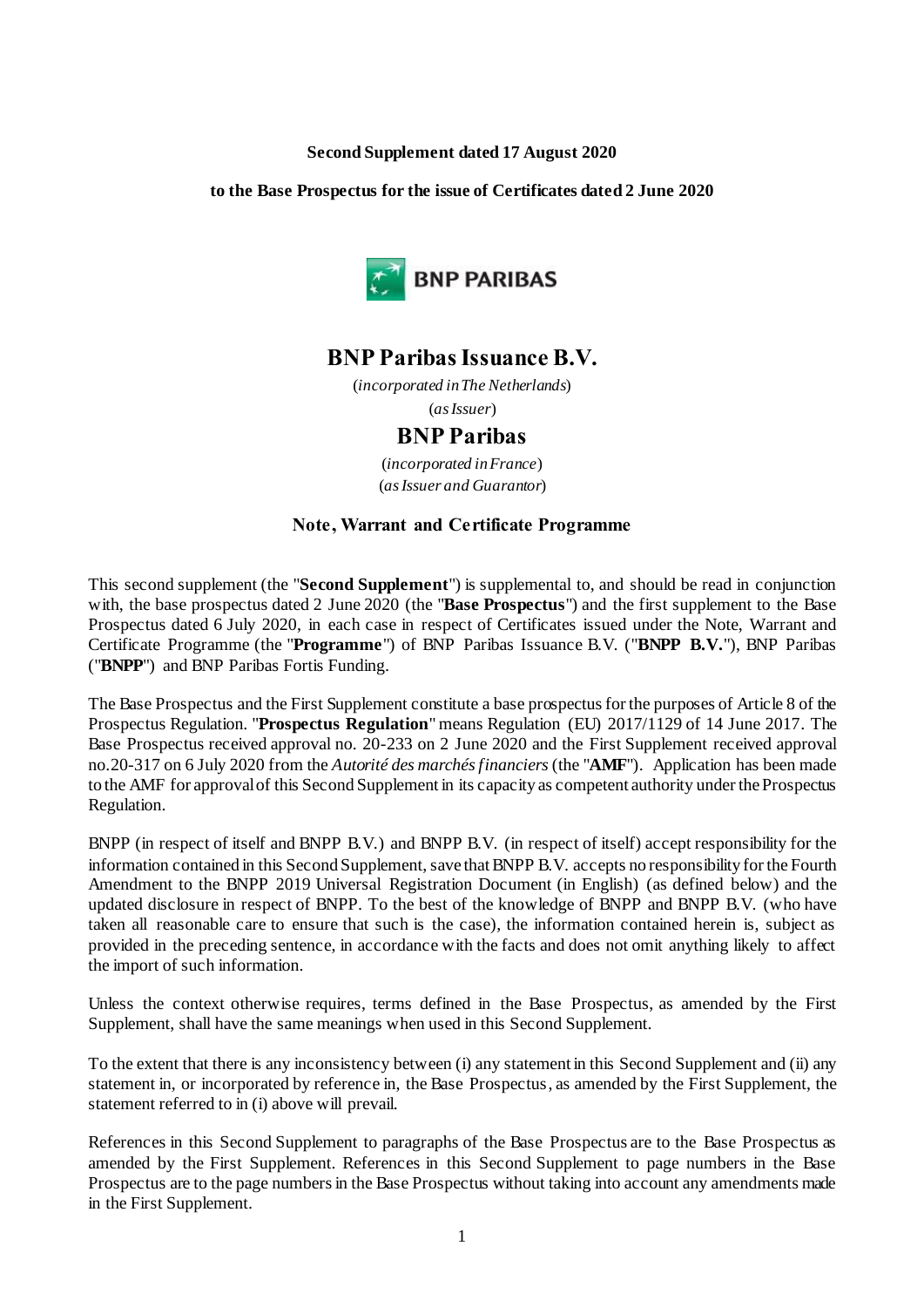#### **Second Supplement dated 17 August 2020**

#### **to the Base Prospectus for the issue of Certificates dated 2 June 2020**



# **BNP Paribas Issuance B.V.**

(*incorporated in The Netherlands*) (*as Issuer*)

# **BNP Paribas**

(*incorporated in France*) (*as Issuer and Guarantor*)

### **Note, Warrant and Certificate Programme**

This second supplement (the "**Second Supplement**") is supplemental to, and should be read in conjunction with, the base prospectus dated 2 June 2020 (the "**Base Prospectus**") and the first supplement to the Base Prospectus dated 6 July 2020, in each case in respect of Certificates issued under the Note, Warrant and Certificate Programme (the "**Programme**") of BNP Paribas Issuance B.V. ("**BNPP B.V.**"), BNP Paribas ("**BNPP**") and BNP Paribas Fortis Funding.

The Base Prospectus and the First Supplement constitute a base prospectus for the purposes of Article 8 of the Prospectus Regulation. "**Prospectus Regulation**" means Regulation (EU) 2017/1129 of 14 June 2017. The Base Prospectus received approval no. 20-233 on 2 June 2020 and the First Supplement received approval no.20-317 on 6 July 2020 from the *Autorité des marchés financiers* (the "**AMF**"). Application has been made to the AMF for approval of this Second Supplement in its capacity as competent authority under the Prospectus Regulation.

BNPP (in respect of itself and BNPP B.V.) and BNPP B.V. (in respect of itself) accept responsibility for the information contained in this Second Supplement, save that BNPP B.V. accepts no responsibility for the Fourth Amendment to the BNPP 2019 Universal Registration Document (in English) (as defined below) and the updated disclosure in respect of BNPP. To the best of the knowledge of BNPP and BNPP B.V. (who have taken all reasonable care to ensure that such is the case), the information contained herein is, subject as provided in the preceding sentence, in accordance with the facts and does not omit anything likely to affect the import of such information.

Unless the context otherwise requires, terms defined in the Base Prospectus, as amended by the First Supplement, shall have the same meanings when used in this Second Supplement.

To the extent that there is any inconsistency between (i) any statement in this Second Supplement and (ii) any statement in, or incorporated by reference in, the Base Prospectus, as amended by the First Supplement, the statement referred to in (i) above will prevail.

References in this Second Supplement to paragraphs of the Base Prospectus are to the Base Prospectus as amended by the First Supplement. References in this Second Supplement to page numbers in the Base Prospectus are to the page numbers in the Base Prospectus without taking into account any amendments made in the First Supplement.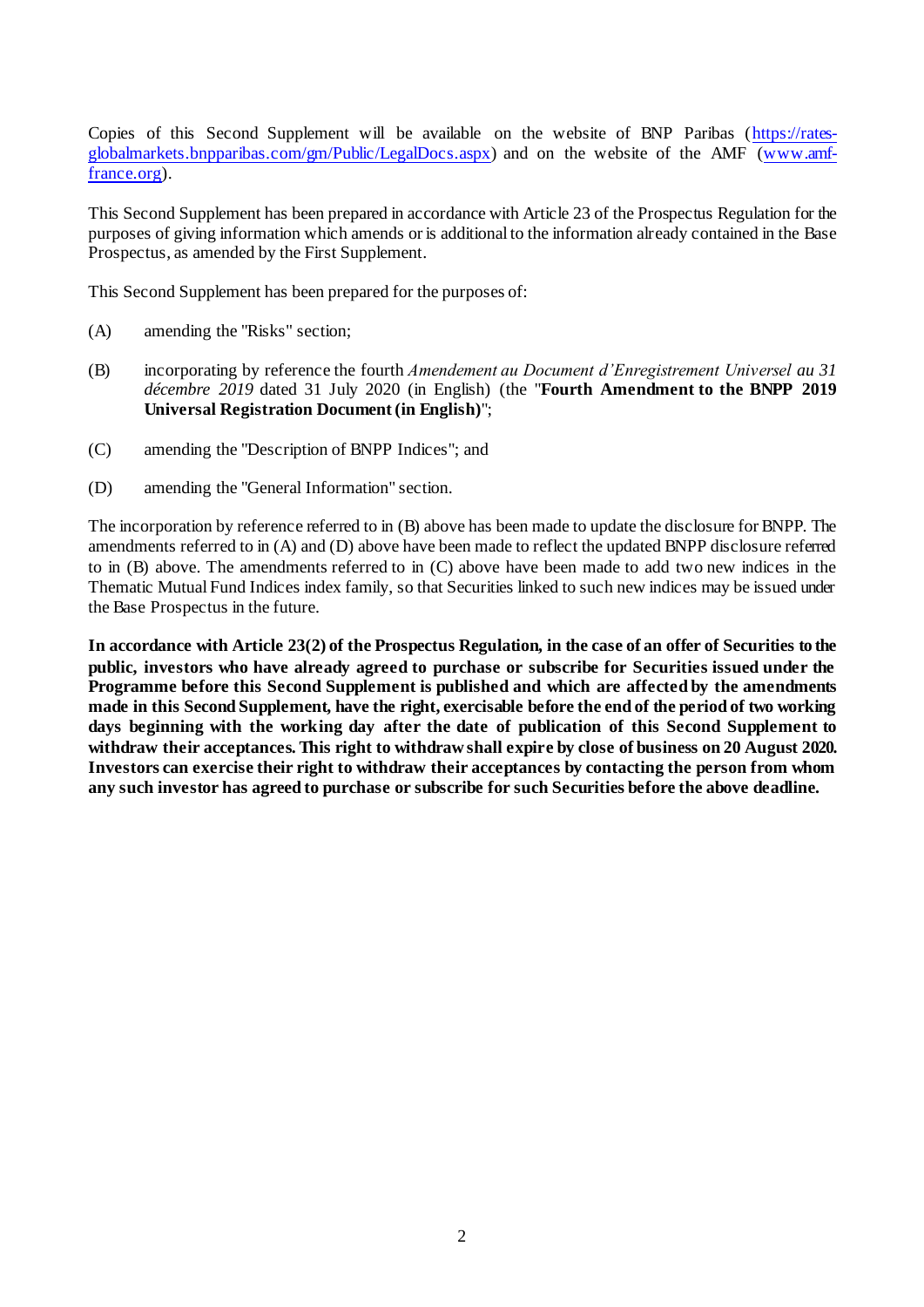Copies of this Second Supplement will be available on the website of BNP Paribas [\(https://rates](https://rates-globalmarkets.bnpparibas.com/gm/Public/LegalDocs.aspx)[globalmarkets.bnpparibas.com/gm/Public/LegalDocs.aspx](https://rates-globalmarkets.bnpparibas.com/gm/Public/LegalDocs.aspx)) and on the website of the AMF [\(www.amf](http://www.amf-france.org/)[france.org](http://www.amf-france.org/)).

This Second Supplement has been prepared in accordance with Article 23 of the Prospectus Regulation for the purposes of giving information which amends or is additional to the information already contained in the Base Prospectus, as amended by the First Supplement.

This Second Supplement has been prepared for the purposes of:

- (A) amending the "Risks" section;
- (B) incorporating by reference the fourth *Amendement au Document d'Enregistrement Universel au 31 décembre 2019* dated 31 July 2020 (in English) (the "**Fourth Amendment to the BNPP 2019 Universal Registration Document (in English)**";
- (C) amending the "Description of BNPP Indices"; and
- (D) amending the "General Information" section.

The incorporation by reference referred to in (B) above has been made to update the disclosure for BNPP. The amendments referred to in (A) and (D) above have been made to reflect the updated BNPP disclosure referred to in (B) above. The amendments referred to in (C) above have been made to add two new indices in the Thematic Mutual Fund Indices index family, so that Securities linked to such new indices may be issued under the Base Prospectus in the future.

**In accordance with Article 23(2) of the Prospectus Regulation, in the case of an offer of Securities to the public, investors who have already agreed to purchase or subscribe for Securities issued under the Programme before this Second Supplement is published and which are affected by the amendments made in this Second Supplement, have the right, exercisable before the end of the period of two working days beginning with the working day after the date of publication of this Second Supplement to withdraw their acceptances. This right to withdraw shall expire by close of business on 20 August 2020. Investors can exercise their right to withdraw their acceptances by contacting the person from whom any such investor has agreed to purchase or subscribe for such Securities before the above deadline.**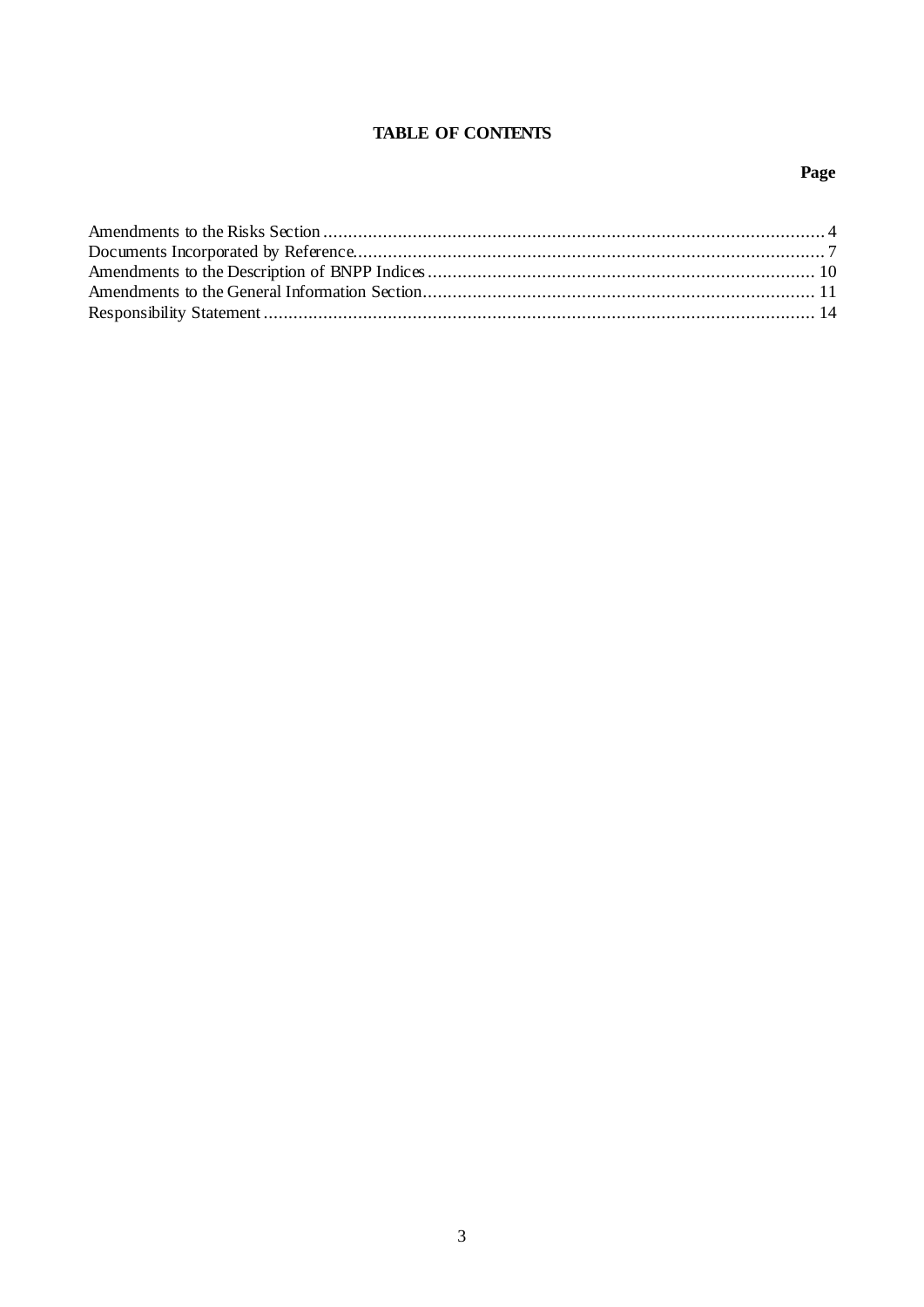### **TABLE OF CONTENTS**

# Page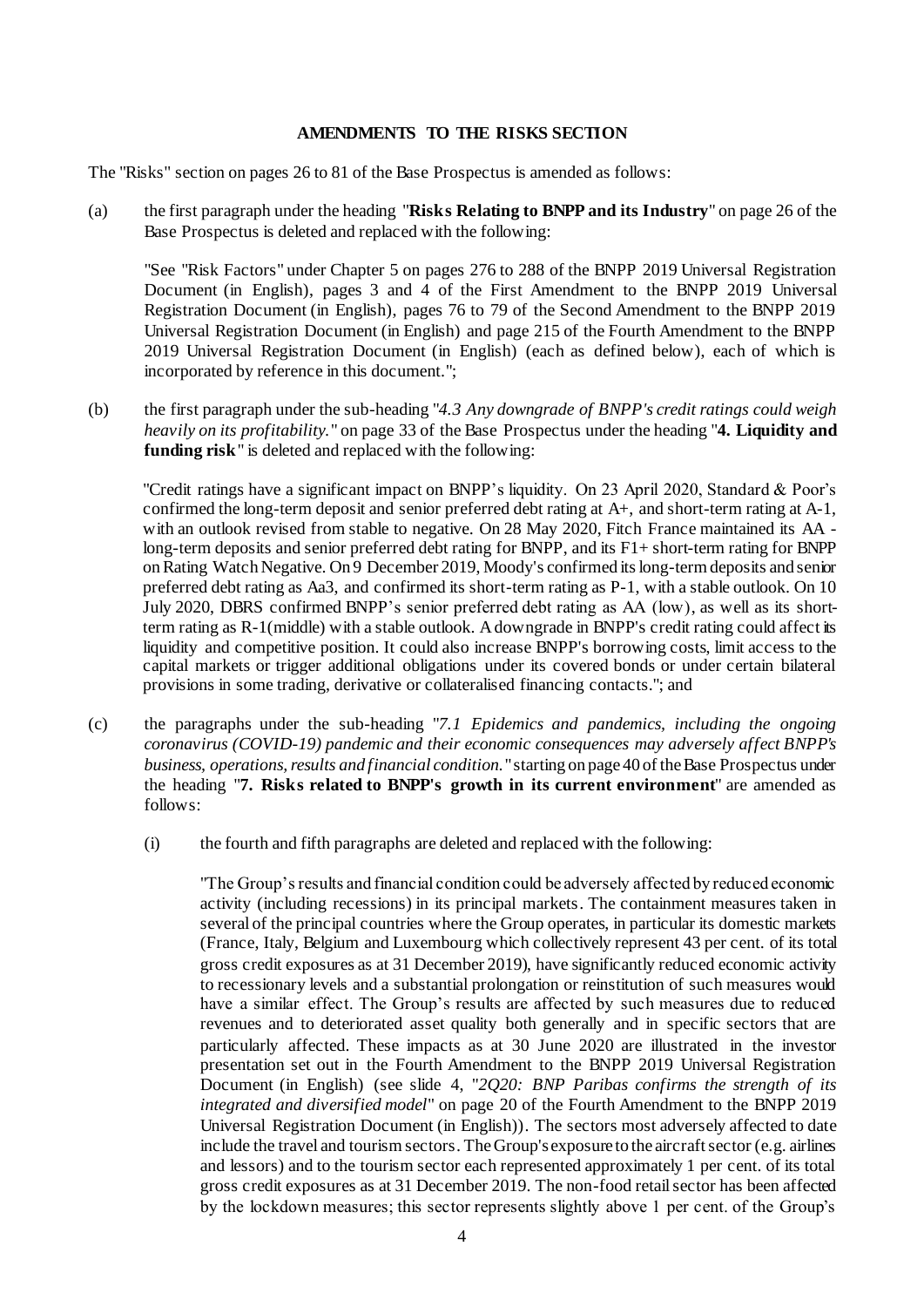#### **AMENDMENTS TO THE RISKS SECTION**

The "Risks" section on pages 26 to 81 of the Base Prospectus is amended as follows:

(a) the first paragraph under the heading "**Risks Relating to BNPP and its Industry**" on page 26 of the Base Prospectus is deleted and replaced with the following:

"See "Risk Factors" under Chapter 5 on pages 276 to 288 of the BNPP 2019 Universal Registration Document (in English), pages 3 and 4 of the First Amendment to the BNPP 2019 Universal Registration Document (in English), pages 76 to 79 of the Second Amendment to the BNPP 2019 Universal Registration Document (in English) and page 215 of the Fourth Amendment to the BNPP 2019 Universal Registration Document (in English) (each as defined below), each of which is incorporated by reference in this document.";

(b) the first paragraph under the sub-heading "*4.3 Any downgrade of BNPP's credit ratings could weigh heavily on its profitability.*" on page 33 of the Base Prospectus under the heading "**4. Liquidity and funding risk**" is deleted and replaced with the following:

"Credit ratings have a significant impact on BNPP's liquidity. On 23 April 2020, Standard & Poor's confirmed the long-term deposit and senior preferred debt rating at A+, and short-term rating at A-1, with an outlook revised from stable to negative. On 28 May 2020, Fitch France maintained its AA long-term deposits and senior preferred debt rating for BNPP, and its F1+ short-term rating for BNPP on Rating Watch Negative. On 9 December 2019, Moody's confirmed its long-term deposits and senior preferred debt rating as Aa3, and confirmed its short-term rating as P-1, with a stable outlook. On 10 July 2020, DBRS confirmed BNPP's senior preferred debt rating as AA (low), as well as its shortterm rating as R-1(middle) with a stable outlook. A downgrade in BNPP's credit rating could affect its liquidity and competitive position. It could also increase BNPP's borrowing costs, limit access to the capital markets or trigger additional obligations under its covered bonds or under certain bilateral provisions in some trading, derivative or collateralised financing contacts."; and

- (c) the paragraphs under the sub-heading "*7.1 Epidemics and pandemics, including the ongoing coronavirus (COVID-19) pandemic and their economic consequences may adversely affect BNPP's business, operations, results and financial condition.*" starting on page 40 of the Base Prospectus under the heading "**7. Risks related to BNPP's growth in its current environment**" are amended as follows:
	- (i) the fourth and fifth paragraphs are deleted and replaced with the following:

"The Group's results and financial condition could be adversely affected by reduced economic activity (including recessions) in its principal markets. The containment measures taken in several of the principal countries where the Group operates, in particular its domestic markets (France, Italy, Belgium and Luxembourg which collectively represent 43 per cent. of its total gross credit exposures as at 31 December 2019), have significantly reduced economic activity to recessionary levels and a substantial prolongation or reinstitution of such measures would have a similar effect. The Group's results are affected by such measures due to reduced revenues and to deteriorated asset quality both generally and in specific sectors that are particularly affected. These impacts as at 30 June 2020 are illustrated in the investor presentation set out in the Fourth Amendment to the BNPP 2019 Universal Registration Document (in English) (see slide 4, "*2Q20: BNP Paribas confirms the strength of its integrated and diversified model*" on page 20 of the Fourth Amendment to the BNPP 2019 Universal Registration Document (in English)). The sectors most adversely affected to date include the travel and tourism sectors. The Group's exposure to the aircraft sector (e.g. airlines and lessors) and to the tourism sector each represented approximately 1 per cent. of its total gross credit exposures as at 31 December 2019. The non-food retail sector has been affected by the lockdown measures; this sector represents slightly above 1 per cent. of the Group's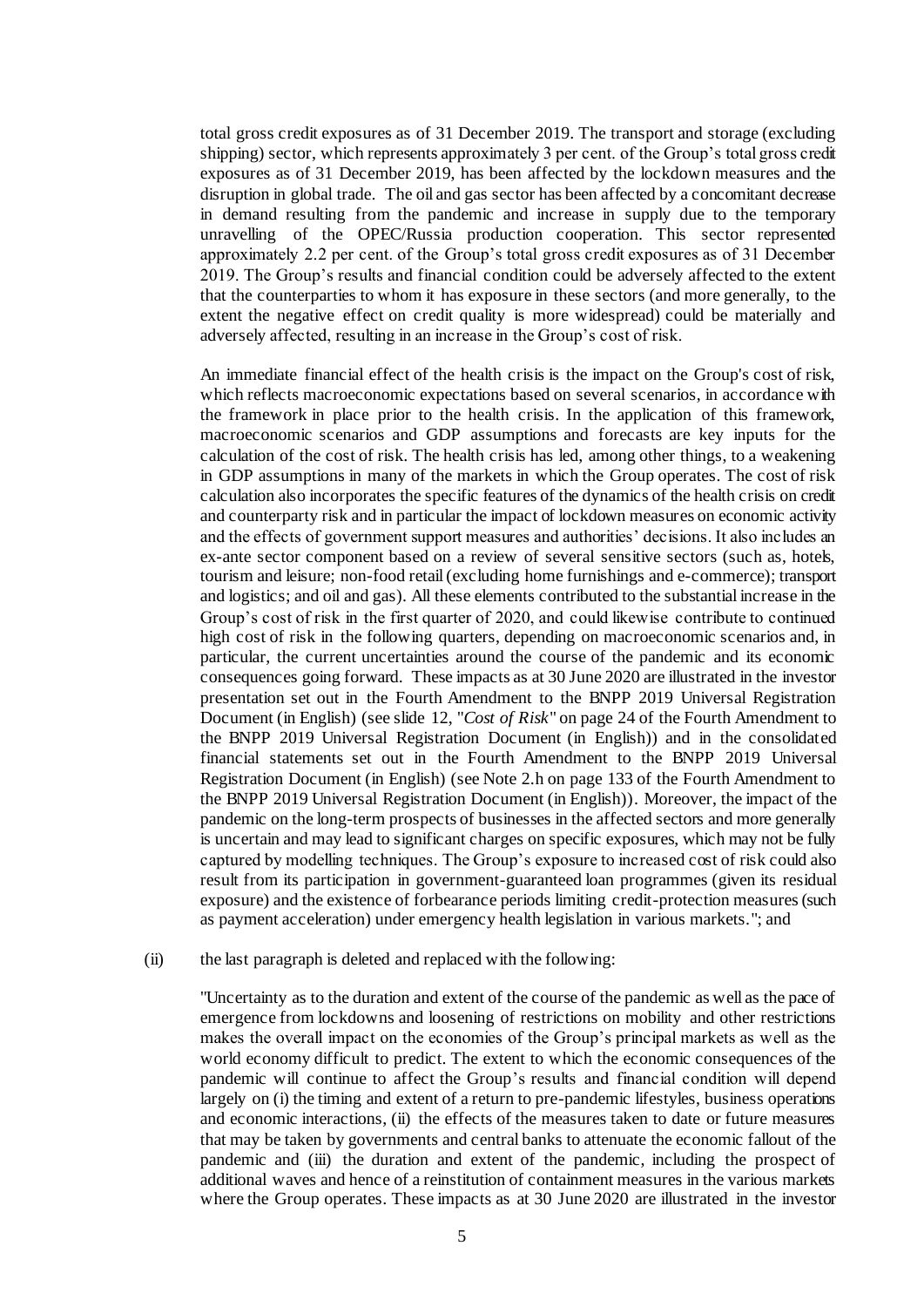total gross credit exposures as of 31 December 2019. The transport and storage (excluding shipping) sector, which represents approximately 3 per cent. of the Group's total gross credit exposures as of 31 December 2019, has been affected by the lockdown measures and the disruption in global trade. The oil and gas sector has been affected by a concomitant decrease in demand resulting from the pandemic and increase in supply due to the temporary unravelling of the OPEC/Russia production cooperation. This sector represented approximately 2.2 per cent. of the Group's total gross credit exposures as of 31 December 2019. The Group's results and financial condition could be adversely affected to the extent that the counterparties to whom it has exposure in these sectors (and more generally, to the extent the negative effect on credit quality is more widespread) could be materially and adversely affected, resulting in an increase in the Group's cost of risk.

An immediate financial effect of the health crisis is the impact on the Group's cost of risk, which reflects macroeconomic expectations based on several scenarios, in accordance with the framework in place prior to the health crisis. In the application of this framework, macroeconomic scenarios and GDP assumptions and forecasts are key inputs for the calculation of the cost of risk. The health crisis has led, among other things, to a weakening in GDP assumptions in many of the markets in which the Group operates. The cost of risk calculation also incorporates the specific features of the dynamics of the health crisis on credit and counterparty risk and in particular the impact of lockdown measures on economic activity and the effects of government support measures and authorities' decisions. It also includes an ex-ante sector component based on a review of several sensitive sectors (such as, hotels, tourism and leisure; non-food retail (excluding home furnishings and e-commerce); transport and logistics; and oil and gas). All these elements contributed to the substantial increase in the Group's cost of risk in the first quarter of 2020, and could likewise contribute to continued high cost of risk in the following quarters, depending on macroeconomic scenarios and, in particular, the current uncertainties around the course of the pandemic and its economic consequences going forward. These impacts as at 30 June 2020 are illustrated in the investor presentation set out in the Fourth Amendment to the BNPP 2019 Universal Registration Document (in English) (see slide 12, "*Cost of Risk*" on page 24 of the Fourth Amendment to the BNPP 2019 Universal Registration Document (in English)) and in the consolidated financial statements set out in the Fourth Amendment to the BNPP 2019 Universal Registration Document (in English) (see Note 2.h on page 133 of the Fourth Amendment to the BNPP 2019 Universal Registration Document (in English)). Moreover, the impact of the pandemic on the long-term prospects of businesses in the affected sectors and more generally is uncertain and may lead to significant charges on specific exposures, which may not be fully captured by modelling techniques. The Group's exposure to increased cost of risk could also result from its participation in government-guaranteed loan programmes (given its residual exposure) and the existence of forbearance periods limiting credit-protection measures (such as payment acceleration) under emergency health legislation in various markets."; and

#### (ii) the last paragraph is deleted and replaced with the following:

"Uncertainty as to the duration and extent of the course of the pandemic as well as the pace of emergence from lockdowns and loosening of restrictions on mobility and other restrictions makes the overall impact on the economies of the Group's principal markets as well as the world economy difficult to predict. The extent to which the economic consequences of the pandemic will continue to affect the Group's results and financial condition will depend largely on (i) the timing and extent of a return to pre-pandemic lifestyles, business operations and economic interactions, (ii) the effects of the measures taken to date or future measures that may be taken by governments and central banks to attenuate the economic fallout of the pandemic and (iii) the duration and extent of the pandemic, including the prospect of additional waves and hence of a reinstitution of containment measures in the various markets where the Group operates. These impacts as at 30 June 2020 are illustrated in the investor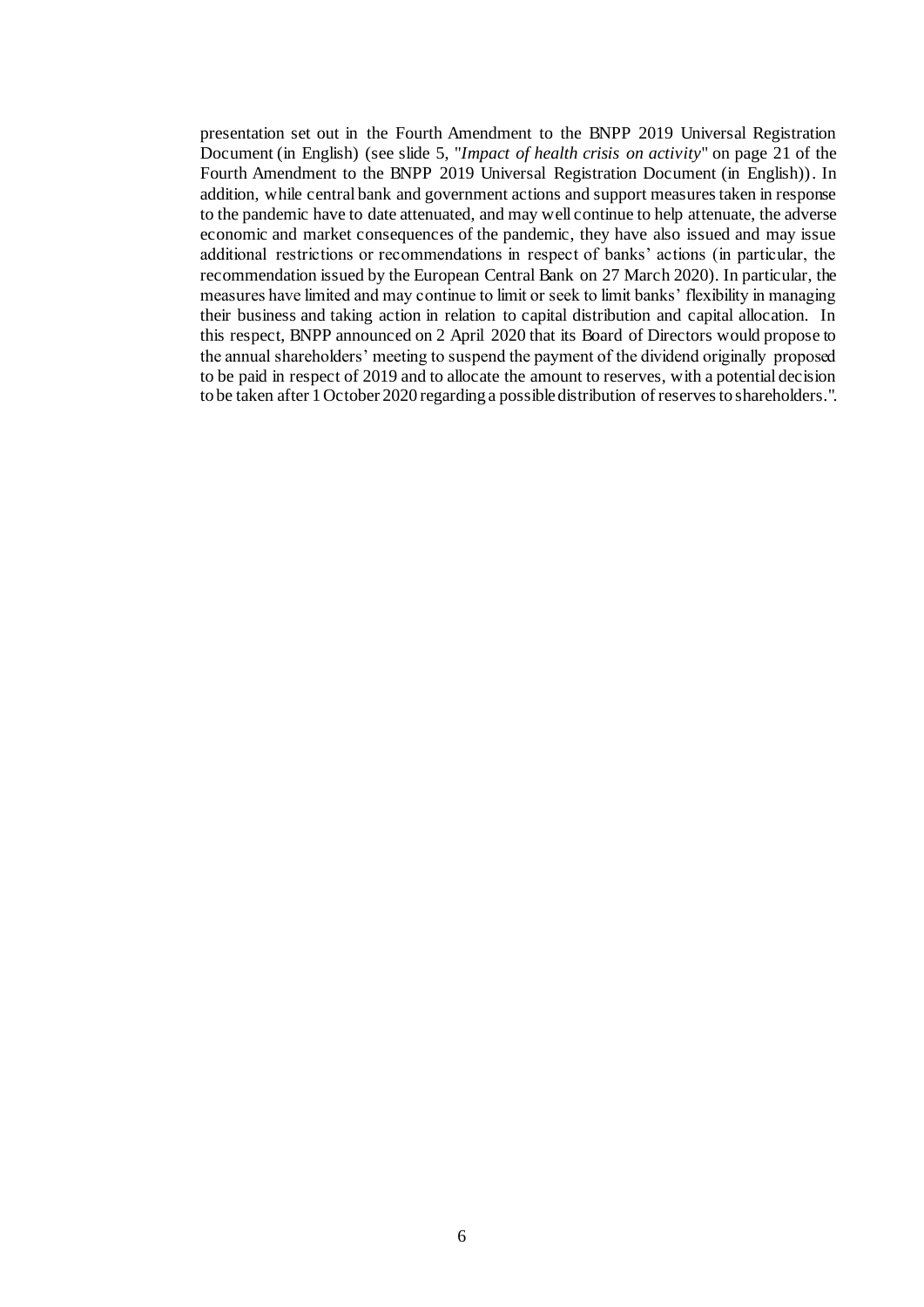presentation set out in the Fourth Amendment to the BNPP 2019 Universal Registration Document (in English) (see slide 5, "*Impact of health crisis on activity*" on page 21 of the Fourth Amendment to the BNPP 2019 Universal Registration Document (in English)). In addition, while central bank and government actions and support measures taken in response to the pandemic have to date attenuated, and may well continue to help attenuate, the adverse economic and market consequences of the pandemic, they have also issued and may issue additional restrictions or recommendations in respect of banks' actions (in particular, the recommendation issued by the European Central Bank on 27 March 2020). In particular, the measures have limited and may continue to limit or seek to limit banks' flexibility in managing their business and taking action in relation to capital distribution and capital allocation. In this respect, BNPP announced on 2 April 2020 that its Board of Directors would propose to the annual shareholders' meeting to suspend the payment of the dividend originally proposed to be paid in respect of 2019 and to allocate the amount to reserves, with a potential decision to be taken after 1 October 2020 regarding a possible distribution of reserves to shareholders.".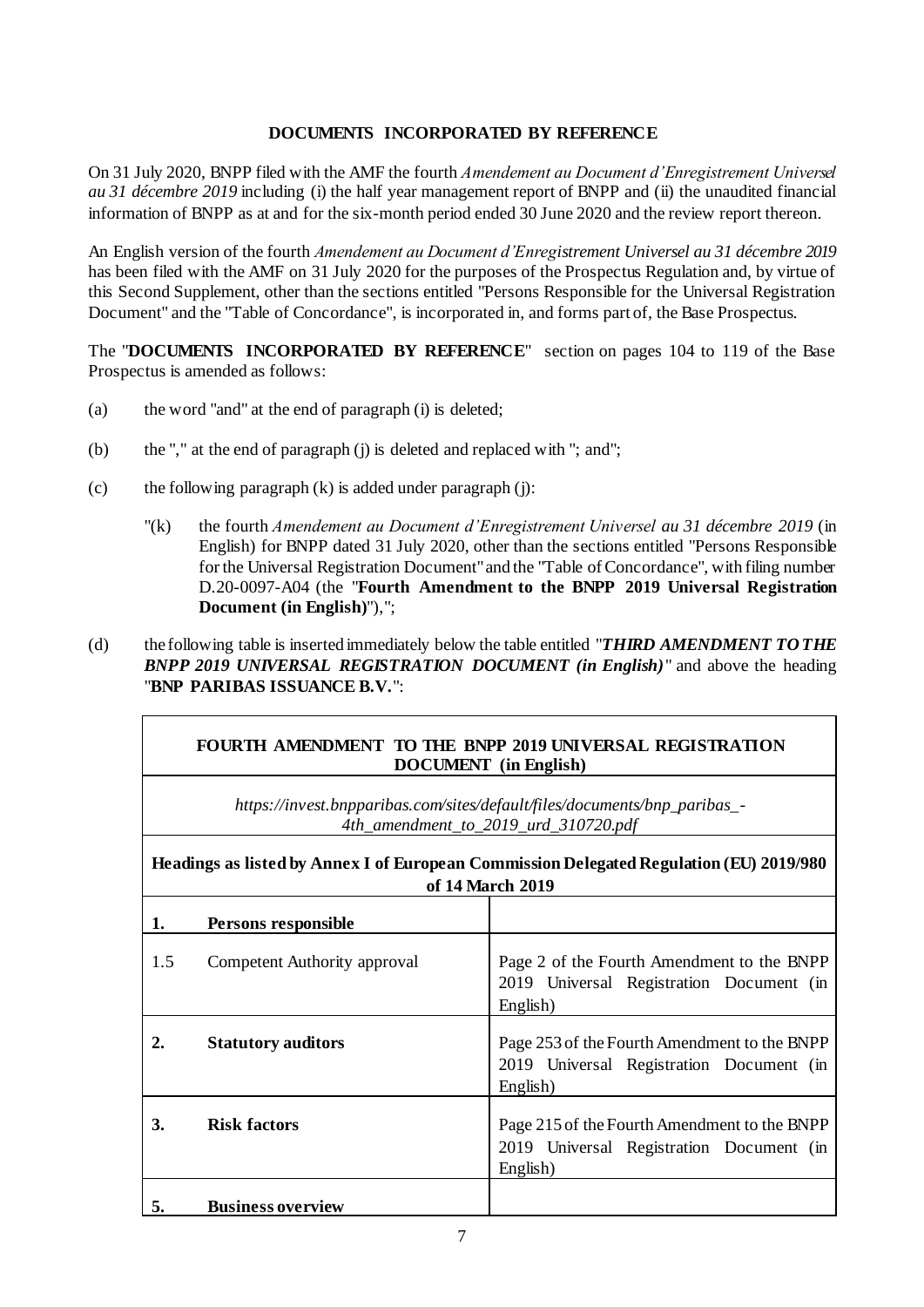#### **DOCUMENTS INCORPORATED BY REFERENCE**

On 31 July 2020, BNPP filed with the AMF the fourth *Amendement au Document d'Enregistrement Universel au 31 décembre 2019* including (i) the half year management report of BNPP and (ii) the unaudited financial information of BNPP as at and for the six-month period ended 30 June 2020 and the review report thereon.

An English version of the fourth *Amendement au Document d'Enregistrement Universel au 31 décembre 2019* has been filed with the AMF on 31 July 2020 for the purposes of the Prospectus Regulation and, by virtue of this Second Supplement, other than the sections entitled "Persons Responsible for the Universal Registration Document" and the "Table of Concordance", is incorporated in, and forms part of, the Base Prospectus.

The "**DOCUMENTS INCORPORATED BY REFERENCE**" section on pages 104 to 119 of the Base Prospectus is amended as follows:

- (a) the word "and" at the end of paragraph (i) is deleted;
- (b) the "," at the end of paragraph (j) is deleted and replaced with "; and";
- (c) the following paragraph  $(k)$  is added under paragraph  $(i)$ :
	- "(k) the fourth *Amendement au Document d'Enregistrement Universel au 31 décembre 2019* (in English) for BNPP dated 31 July 2020, other than the sections entitled "Persons Responsible for the Universal Registration Document" and the "Table of Concordance", with filing number D.20-0097-A04 (the "**Fourth Amendment to the BNPP 2019 Universal Registration Document (in English)**"),";
- (d) the following table is inserted immediately below the table entitled "*THIRD AMENDMENT TO THE BNPP 2019 UNIVERSAL REGISTRATION DOCUMENT (in English)*" and above the heading "**BNP PARIBAS ISSUANCE B.V.**":

| FOURTH AMENDMENT TO THE BNPP 2019 UNIVERSAL REGISTRATION |
|----------------------------------------------------------|
| <b>DOCUMENT</b> (in English)                             |

*[https://invest.bnpparibas.com/sites/default/files/documents/bnp\\_paribas\\_-](https://invest.bnpparibas.com/sites/default/files/documents/bnp_paribas_-4th_amendment_to_2019_urd_310720.pdf) [4th\\_amendment\\_to\\_2019\\_urd\\_310720.pdf](https://invest.bnpparibas.com/sites/default/files/documents/bnp_paribas_-4th_amendment_to_2019_urd_310720.pdf)*

| Headings as listed by Annex I of European Commission Delegated Regulation (EU) 2019/980<br>of 14 March 2019 |                              |                                                                                                      |  |  |
|-------------------------------------------------------------------------------------------------------------|------------------------------|------------------------------------------------------------------------------------------------------|--|--|
| 1.                                                                                                          | Persons responsible          |                                                                                                      |  |  |
| 1.5                                                                                                         | Competent Authority approval | Page 2 of the Fourth Amendment to the BNPP<br>2019 Universal Registration Document (in<br>English)   |  |  |
|                                                                                                             | <b>Statutory auditors</b>    | Page 253 of the Fourth Amendment to the BNPP<br>2019 Universal Registration Document (in<br>English) |  |  |
| 3.                                                                                                          | <b>Risk factors</b>          | Page 215 of the Fourth Amendment to the BNPP<br>2019 Universal Registration Document (in<br>English) |  |  |
| 5.                                                                                                          | <b>Business overview</b>     |                                                                                                      |  |  |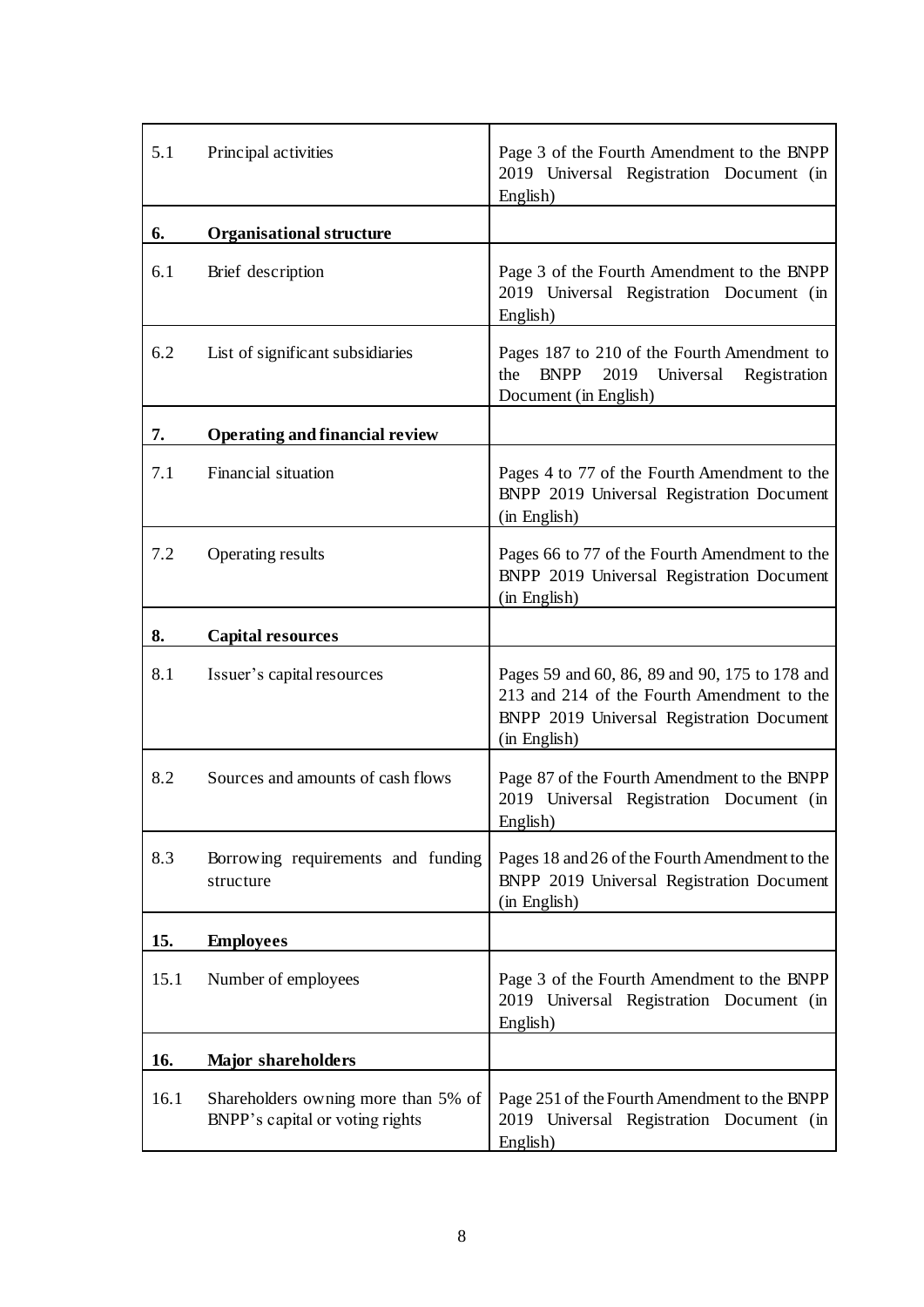| 5.1  | Principal activities                                                   | Page 3 of the Fourth Amendment to the BNPP<br>2019 Universal Registration Document (in<br>English)                                                        |
|------|------------------------------------------------------------------------|-----------------------------------------------------------------------------------------------------------------------------------------------------------|
| 6.   | <b>Organisational structure</b>                                        |                                                                                                                                                           |
| 6.1  | Brief description                                                      | Page 3 of the Fourth Amendment to the BNPP<br>2019 Universal Registration Document (in<br>English)                                                        |
| 6.2  | List of significant subsidiaries                                       | Pages 187 to 210 of the Fourth Amendment to<br><b>BNPP</b><br>2019<br>Universal<br>the<br>Registration<br>Document (in English)                           |
| 7.   | <b>Operating and financial review</b>                                  |                                                                                                                                                           |
| 7.1  | Financial situation                                                    | Pages 4 to 77 of the Fourth Amendment to the<br>BNPP 2019 Universal Registration Document<br>(in English)                                                 |
| 7.2  | Operating results                                                      | Pages 66 to 77 of the Fourth Amendment to the<br>BNPP 2019 Universal Registration Document<br>(in English)                                                |
| 8.   | <b>Capital resources</b>                                               |                                                                                                                                                           |
| 8.1  | Issuer's capital resources                                             | Pages 59 and 60, 86, 89 and 90, 175 to 178 and<br>213 and 214 of the Fourth Amendment to the<br>BNPP 2019 Universal Registration Document<br>(in English) |
| 8.2  | Sources and amounts of cash flows                                      | Page 87 of the Fourth Amendment to the BNPP<br>2019 Universal Registration Document (in<br>English)                                                       |
| 8.3  | Borrowing requirements and funding<br>structure                        | Pages 18 and 26 of the Fourth Amendment to the<br>BNPP 2019 Universal Registration Document<br>(in English)                                               |
| 15.  | <b>Employees</b>                                                       |                                                                                                                                                           |
| 15.1 | Number of employees                                                    | Page 3 of the Fourth Amendment to the BNPP<br>2019 Universal Registration Document (in<br>English)                                                        |
| 16.  | <b>Major shareholders</b>                                              |                                                                                                                                                           |
| 16.1 | Shareholders owning more than 5% of<br>BNPP's capital or voting rights | Page 251 of the Fourth Amendment to the BNPP<br>2019 Universal Registration Document (in<br>English)                                                      |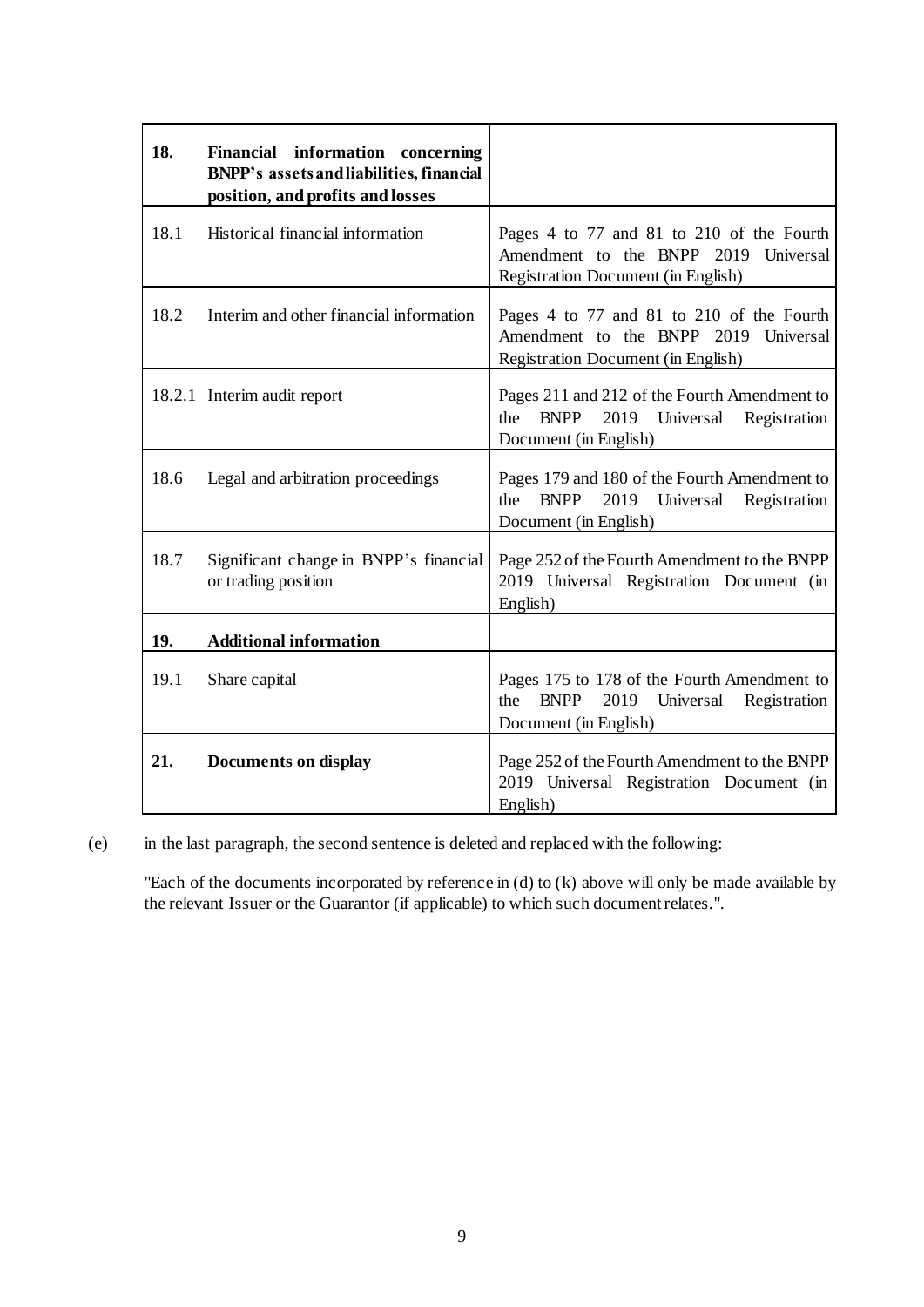| 18.  | Financial information concerning<br>BNPP's assets and liabilities, financial<br>position, and profits and losses |                                                                                                                                 |
|------|------------------------------------------------------------------------------------------------------------------|---------------------------------------------------------------------------------------------------------------------------------|
| 18.1 | Historical financial information                                                                                 | Pages 4 to 77 and 81 to 210 of the Fourth<br>Amendment to the BNPP 2019 Universal<br>Registration Document (in English)         |
| 18.2 | Interim and other financial information                                                                          | Pages 4 to 77 and 81 to 210 of the Fourth<br>Amendment to the BNPP 2019 Universal<br><b>Registration Document (in English)</b>  |
|      | 18.2.1 Interim audit report                                                                                      | Pages 211 and 212 of the Fourth Amendment to<br>2019 Universal<br><b>BNPP</b><br>the<br>Registration<br>Document (in English)   |
| 18.6 | Legal and arbitration proceedings                                                                                | Pages 179 and 180 of the Fourth Amendment to<br><b>BNPP</b><br>the<br>2019 Universal<br>Registration<br>Document (in English)   |
| 18.7 | Significant change in BNPP's financial<br>or trading position                                                    | Page 252 of the Fourth Amendment to the BNPP<br>2019 Universal Registration Document (in<br>English)                            |
| 19.  | <b>Additional information</b>                                                                                    |                                                                                                                                 |
| 19.1 | Share capital                                                                                                    | Pages 175 to 178 of the Fourth Amendment to<br><b>BNPP</b><br>2019<br>Universal<br>the<br>Registration<br>Document (in English) |
| 21.  | <b>Documents on display</b>                                                                                      | Page 252 of the Fourth Amendment to the BNPP<br>2019 Universal Registration Document (in<br>English)                            |

(e) in the last paragraph, the second sentence is deleted and replaced with the following:

"Each of the documents incorporated by reference in (d) to (k) above will only be made available by the relevant Issuer or the Guarantor (if applicable) to which such document relates.".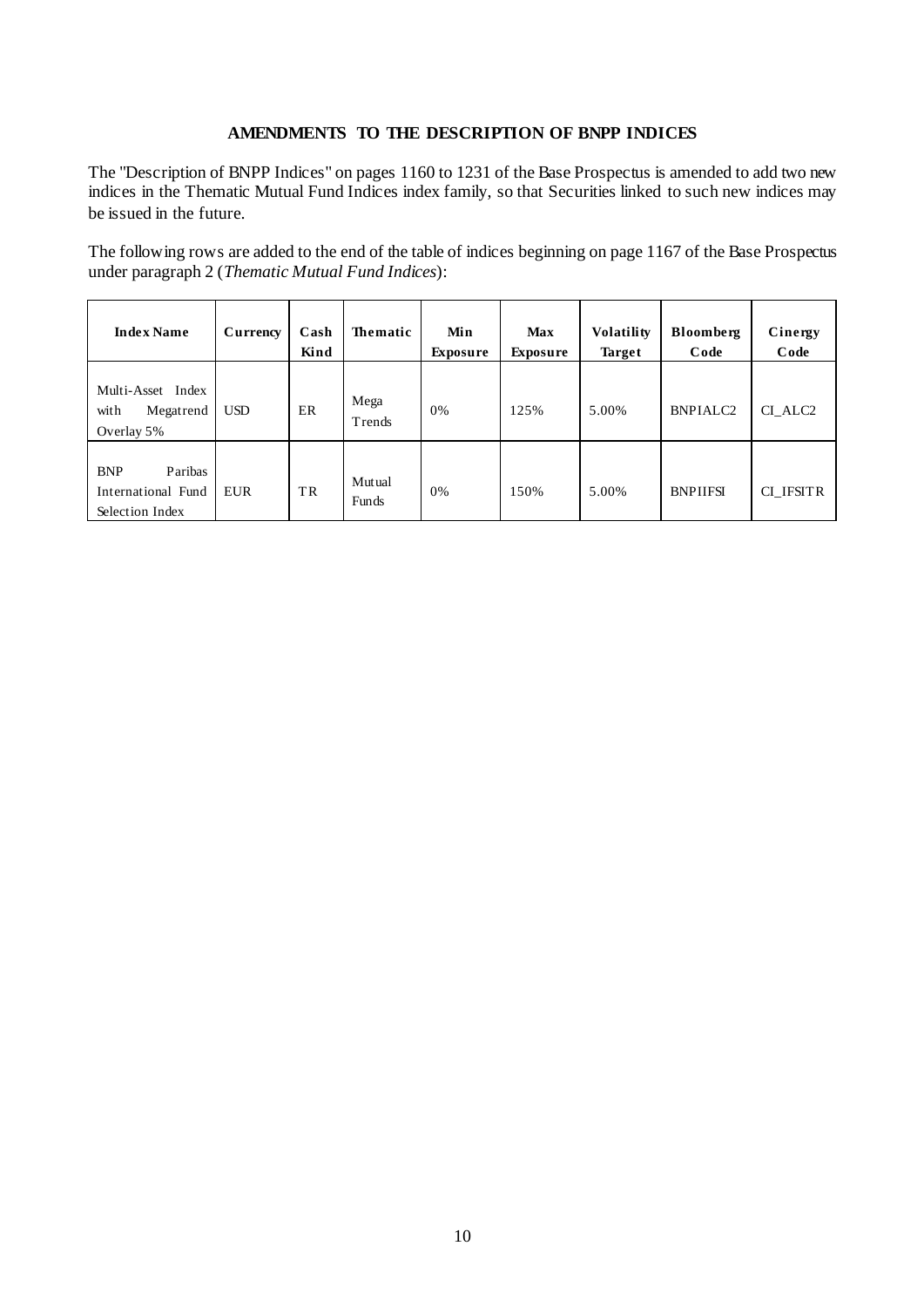### **AMENDMENTS TO THE DESCRIPTION OF BNPP INDICES**

The "Description of BNPP Indices" on pages 1160 to 1231 of the Base Prospectus is amended to add two new indices in the Thematic Mutual Fund Indices index family, so that Securities linked to such new indices may be issued in the future.

The following rows are added to the end of the table of indices beginning on page 1167 of the Base Prospectus under paragraph 2 (*Thematic Mutual Fund Indices*):

| <b>Index Name</b>                                              | Currency   | Cash<br>Kind | <b>Thematic</b> | Min<br><b>Exposure</b> | <b>Max</b><br><b>Exposure</b> | <b>Volatility</b><br><b>Target</b> | Bloomberg<br>Code | Cinergy<br>Code     |
|----------------------------------------------------------------|------------|--------------|-----------------|------------------------|-------------------------------|------------------------------------|-------------------|---------------------|
| Multi-Asset Index<br>with<br>Megatrend<br>Overlay 5%           | <b>USD</b> | ER           | Mega<br>Trends  | 0%                     | 125%                          | 5.00%                              | <b>BNPIALC2</b>   | CI ALC <sub>2</sub> |
| <b>BNP</b><br>Paribas<br>International Fund<br>Selection Index | <b>EUR</b> | TR           | Mutual<br>Funds | 0%                     | 150%                          | 5.00%                              | <b>BNPIIFSI</b>   | CI IFSITR           |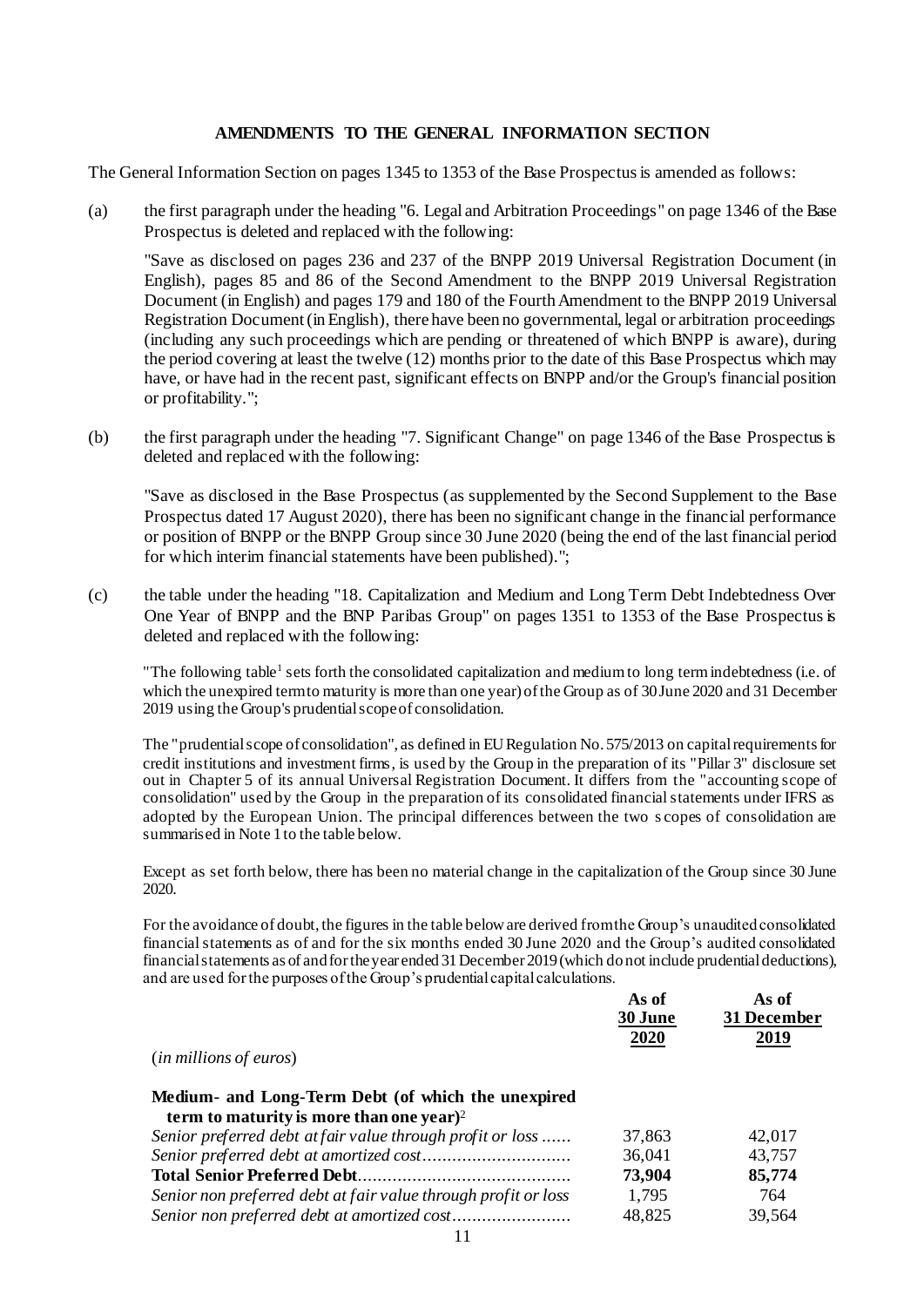#### **AMENDMENTS TO THE GENERAL INFORMATION SECTION**

The General Information Section on pages 1345 to 1353 of the Base Prospectus is amended as follows:

(a) the first paragraph under the heading "6. Legal and Arbitration Proceedings" on page 1346 of the Base Prospectus is deleted and replaced with the following:

"Save as disclosed on pages 236 and 237 of the BNPP 2019 Universal Registration Document (in English), pages 85 and 86 of the Second Amendment to the BNPP 2019 Universal Registration Document (in English) and pages 179 and 180 of the Fourth Amendment to the BNPP 2019 Universal Registration Document (in English), there have been no governmental, legal or arbitration proceedings (including any such proceedings which are pending or threatened of which BNPP is aware), during the period covering at least the twelve (12) months prior to the date of this Base Prospectus which may have, or have had in the recent past, significant effects on BNPP and/or the Group's financial position or profitability.";

(b) the first paragraph under the heading "7. Significant Change" on page 1346 of the Base Prospectus is deleted and replaced with the following:

"Save as disclosed in the Base Prospectus (as supplemented by the Second Supplement to the Base Prospectus dated 17 August 2020), there has been no significant change in the financial performance or position of BNPP or the BNPP Group since 30 June 2020 (being the end of the last financial period for which interim financial statements have been published).";

(c) the table under the heading "18. Capitalization and Medium and Long Term Debt Indebtedness Over One Year of BNPP and the BNP Paribas Group" on pages 1351 to 1353 of the Base Prospectus is deleted and replaced with the following:

"The following table<sup>1</sup> sets forth the consolidated capitalization and medium to long term indebtedness (i.e. of which the unexpired term to maturity is more than one year) of the Group as of 30 June 2020 and 31 December 2019 using the Group's prudential scope of consolidation.

The "prudential scope of consolidation", as defined in EU Regulation No. 575/2013 on capital requirements for credit institutions and investment firms, is used by the Group in the preparation of its "Pillar 3" disclosure set out in Chapter 5 of its annual Universal Registration Document. It differs from the "accounting scope of consolidation" used by the Group in the preparation of its consolidated financial statements under IFRS as adopted by the European Union. The principal differences between the two s copes of consolidation are summarised in Note 1 to the table below.

Except as set forth below, there has been no material change in the capitalization of the Group since 30 June 2020.

For the avoidance of doubt, the figures in the table below are derived from the Group's unaudited consolidated financial statements as of and for the six months ended 30 June 2020 and the Group's audited consolidated financial statements as of and for the year ended 31 December 2019 (which do not include prudential deductions), and are used for the purposes of the Group's prudential capital calculations.

|                                                                | As of<br>30 June | As of<br>31 December |
|----------------------------------------------------------------|------------------|----------------------|
|                                                                | 2020             | 2019                 |
| ( <i>in millions of euros</i> )                                |                  |                      |
| Medium- and Long-Term Debt (of which the unexpired             |                  |                      |
| term to maturity is more than one year) <sup>2</sup>           |                  |                      |
| Senior preferred debt at fair value through profit or loss     | 37,863           | 42,017               |
|                                                                | 36,041           | 43,757               |
|                                                                | 73,904           | 85,774               |
| Senior non preferred debt at fair value through profit or loss | 1,795            | 764                  |
|                                                                | 48,825           | 39,564               |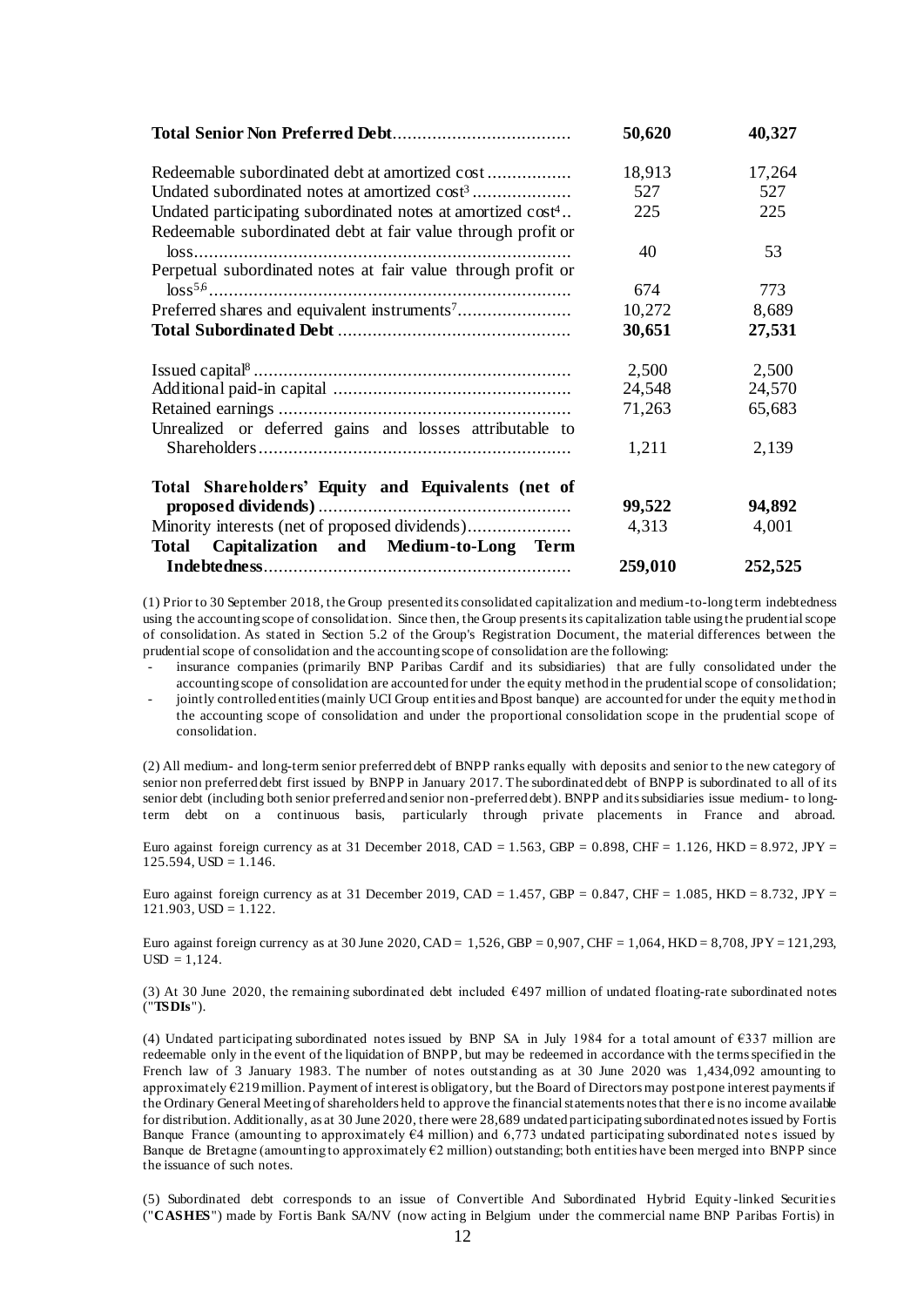|                                                                    | 50,620  | 40,327  |
|--------------------------------------------------------------------|---------|---------|
|                                                                    | 18,913  | 17,264  |
| Undated subordinated notes at amortized cost <sup>3</sup>          | 527     | 527     |
| Undated participating subordinated notes at amortized $\cos t^4$ . | 225     | 225     |
| Redeemable subordinated debt at fair value through profit or       |         |         |
|                                                                    | 40      | 53      |
| Perpetual subordinated notes at fair value through profit or       |         |         |
|                                                                    | 674     | 773     |
|                                                                    | 10,272  | 8,689   |
|                                                                    | 30,651  | 27,531  |
|                                                                    | 2,500   | 2,500   |
|                                                                    | 24,548  | 24,570  |
|                                                                    | 71,263  | 65,683  |
| Unrealized or deferred gains and losses attributable to            |         |         |
|                                                                    | 1,211   | 2,139   |
| Total Shareholders' Equity and Equivalents (net of                 |         |         |
|                                                                    | 99,522  | 94,892  |
| Minority interests (net of proposed dividends)                     | 4,313   | 4,001   |
| Capitalization and Medium-to-Long<br>Total<br>Term                 |         |         |
|                                                                    | 259,010 | 252,525 |

(1) Prior to 30 September 2018, the Group presented its consolidated capitalization and medium-to-long term indebtedness using the accounting scope of consolidation. Since then, the Group presents its capitalization table using the prudential scope of consolidation. As stated in Section 5.2 of the Group's Registration Document, the material differences between the prudential scope of consolidation and the accounting scope of consolidation are the following:

insurance companies (primarily BNP Paribas Cardif and its subsidiaries) that are fully consolidated under the accounting scope of consolidation are accounted for under the equity method in the prudential scope of consolidation;

- jointly controlled entities (mainly UCI Group entities and Bpost banque) are accounted for under the equity me thod in the accounting scope of consolidation and under the proportional consolidation scope in the prudential scope of consolidation.

(2) All medium- and long-term senior preferred debt of BNPP ranks equally with deposits and senior to the new category of senior non preferred debt first issued by BNPP in January 2017. The subordinated debt of BNPP is subordinated to all of its senior debt (including both senior preferred and senior non-preferred debt). BNPP and its subsidiaries issue medium- to longterm debt on a continuous basis, particularly through private placements in France and abroad.

Euro against foreign currency as at 31 December 2018, CAD = 1.563, GBP = 0.898, CHF = 1.126, HKD = 8.972, JPY =  $125.594$ ,  $USD = 1.146$ .

Euro against foreign currency as at 31 December 2019, CAD = 1.457, GBP = 0.847, CHF = 1.085, HKD = 8.732, JPY =  $121.903$ ,  $USD = 1.122$ .

Euro against foreign currency as at 30 June 2020, CAD = 1,526, GBP = 0,907, CHF = 1,064, HKD = 8,708, JPY = 121,293,  $USD = 1,124.$ 

(3) At 30 June 2020, the remaining subordinated debt included €497 million of undated floating-rate subordinated notes ("**TSDIs**").

(4) Undated participating subordinated notes issued by BNP SA in July 1984 for a total amount of €337 million are redeemable only in the event of the liquidation of BNPP, but may be redeemed in accordance with the terms specified in the French law of 3 January 1983. The number of notes outstanding as at 30 June 2020 was 1,434,092 amounting to approximately  $E219$  million. Payment of interest is obligatory, but the Board of Directors may postpone interest payments if the Ordinary General Meeting of shareholders held to approve the financial statements notes that ther e is no income available for distribution. Additionally, as at 30 June 2020, there were 28,689 undated participating subordinated notes issued by Fortis Banque France (amounting to approximately  $64$  million) and 6,773 undated participating subordinated notes issued by Banque de Bretagne (amounting to approximately €2 million) outstanding; both entities have been merged into BNPP since the issuance of such notes.

(5) Subordinated debt corresponds to an issue of Convertible And Subordinated Hybrid Equity -linked Securities ("**CASHES**") made by Fortis Bank SA/NV (now acting in Belgium under the commercial name BNP Paribas Fortis) in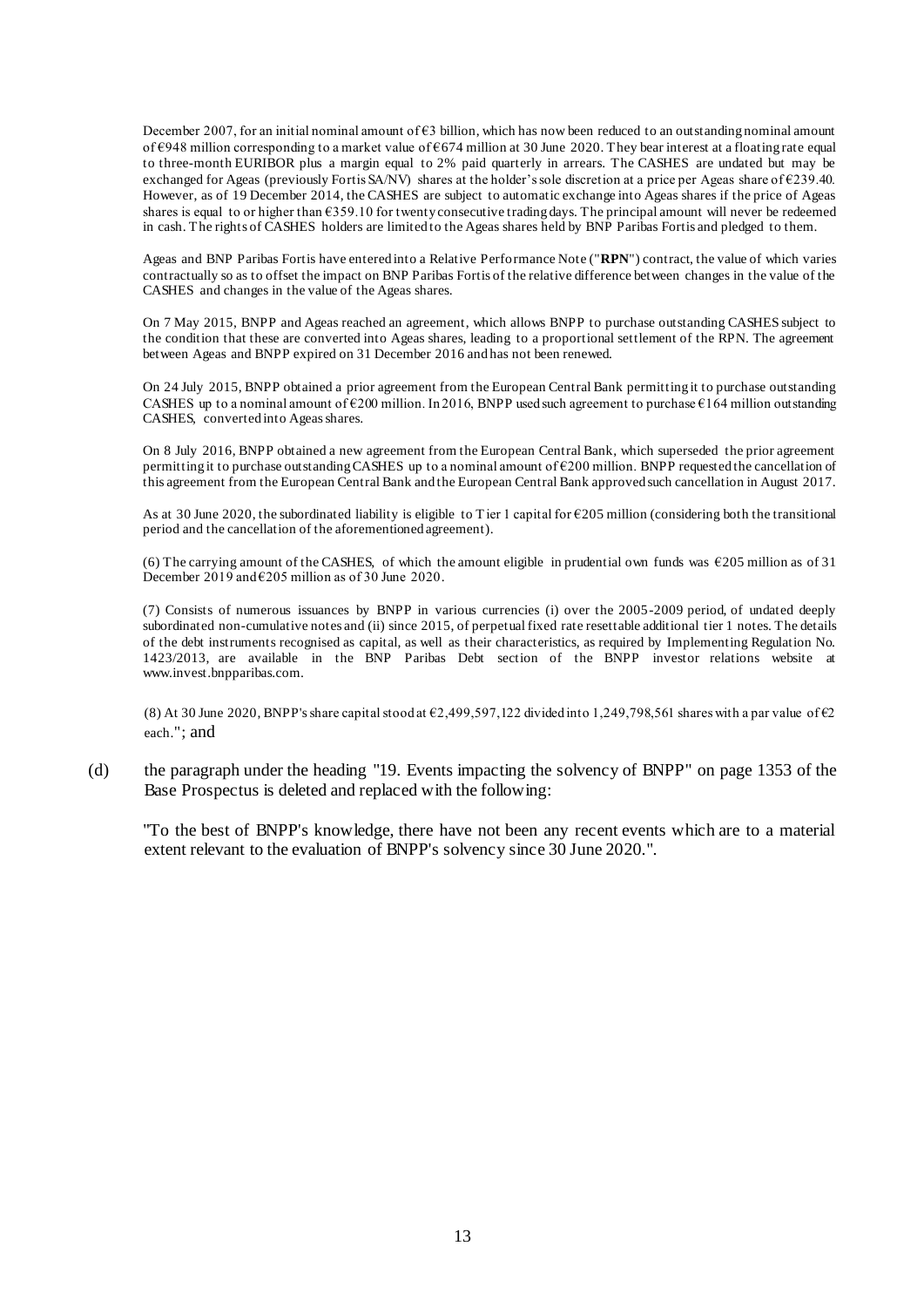December 2007, for an initial nominal amount of  $\epsilon$ 3 billion, which has now been reduced to an outstanding nominal amount of  $\epsilon$ 948 million corresponding to a market value of  $\epsilon$ 674 million at 30 June 2020. They bear interest at a floating rate equal to three-month EURIBOR plus a margin equal to 2% paid quarterly in arrears. The CASHES are undated but may be exchanged for Ageas (previously Fortis SA/NV) shares at the holder's sole discretion at a price per Ageas share of €239.40. However, as of 19 December 2014, the CASHES are subject to automatic exchange into Ageas shares if the price of Ageas shares is equal to or higher than €359.10 for twenty consecutive trading days. The principal amount will never be redeemed in cash. The rights of CASHES holders are limited to the Ageas shares held by BNP Paribas Fortis and pledged to them.

Ageas and BNP Paribas Fortis have entered into a Relative Performance Note ("**RPN**") contract, the value of which varies contractually so as to offset the impact on BNP Paribas Fortis of the relative difference between changes in the value of the CASHES and changes in the value of the Ageas shares.

On 7 May 2015, BNPP and Ageas reached an agreement, which allows BNPP to purchase outstanding CASHES subject to the condition that these are converted into Ageas shares, leading to a proportional settlement of the RPN. The agreement between Ageas and BNPP expired on 31 December 2016 and has not been renewed.

On 24 July 2015, BNPP obtained a prior agreement from the European Central Bank permitting it to purchase outstanding CASHES up to a nominal amount of  $\epsilon$ 200 million. In 2016, BNPP used such agreement to purchase  $\epsilon$ 164 million outstanding CASHES, converted into Ageas shares.

On 8 July 2016, BNPP obtained a new agreement from the European Central Bank, which superseded the prior agreement permitting it to purchase outstanding CASHES up to a nominal amount of €200 million. BNPP requested the cancellation of this agreement from the European Central Bank and the European Central Bank approved such cancellation in August 2017.

As at 30 June 2020, the subordinated liability is eligible to Tier 1 capital for  $\epsilon$ 205 million (considering both the transitional period and the cancellation of the aforementioned agreement).

(6) The carrying amount of the CASHES, of which the amount eligible in prudential own funds was  $\epsilon$ 205 million as of 31 December 2019 and  $\epsilon$ 205 million as of 30 June 2020.

(7) Consists of numerous issuances by BNPP in various currencies (i) over the 2005-2009 period, of undated deeply subordinated non-cumulative notes and (ii) since 2015, of perpetual fixed rate resettable additional tier 1 notes. The details of the debt instruments recognised as capital, as well as their characteristics, as required by Implementing Regulation No. 1423/2013, are available in the BNP Paribas Debt section of the BNPP investor relations website at www.invest.bnpparibas.com.

(8) At 30 June 2020, BNPP's share capital stood at €2,499,597,122 divided into 1,249,798,561 shares with a par value of €2 each."; and

(d) the paragraph under the heading "19. Events impacting the solvency of BNPP" on page 1353 of the Base Prospectus is deleted and replaced with the following:

"To the best of BNPP's knowledge, there have not been any recent events which are to a material extent relevant to the evaluation of BNPP's solvency since 30 June 2020.".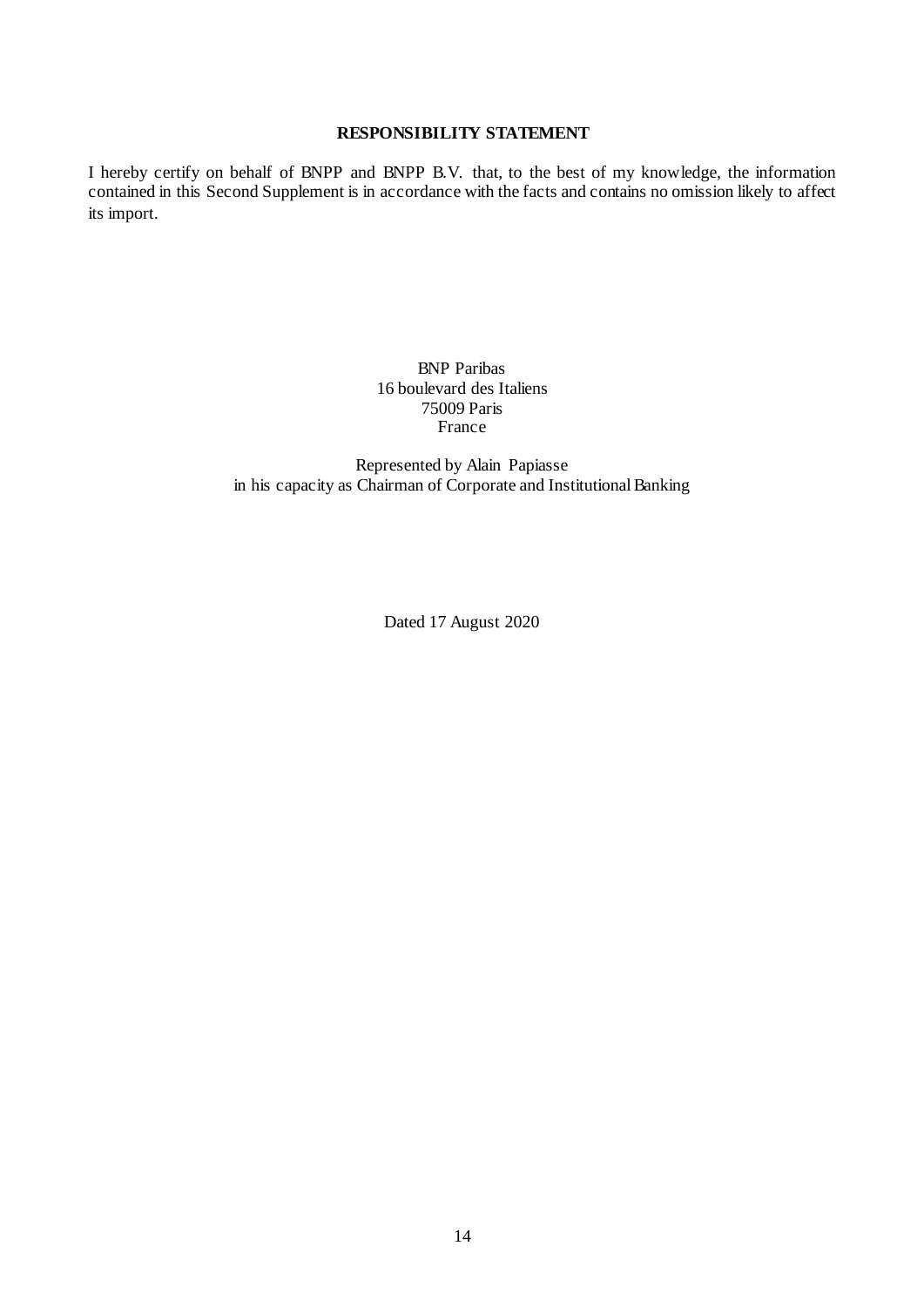#### **RESPONSIBILITY STATEMENT**

I hereby certify on behalf of BNPP and BNPP B.V. that, to the best of my knowledge, the information contained in this Second Supplement is in accordance with the facts and contains no omission likely to affect its import.

> BNP Paribas 16 boulevard des Italiens 75009 Paris France

Represented by Alain Papiasse in his capacity as Chairman of Corporate and Institutional Banking

Dated 17 August 2020